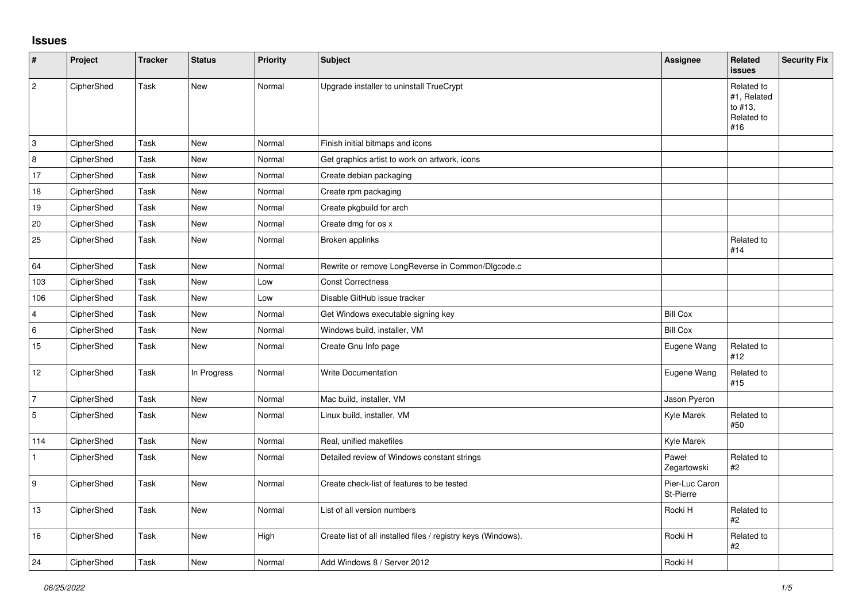## **Issues**

| $\vert$ #               | Project    | <b>Tracker</b> | <b>Status</b> | <b>Priority</b> | Subject                                                       | Assignee                    | Related<br>issues                                         | <b>Security Fix</b> |
|-------------------------|------------|----------------|---------------|-----------------|---------------------------------------------------------------|-----------------------------|-----------------------------------------------------------|---------------------|
| $\vert$ 2               | CipherShed | Task           | New           | Normal          | Upgrade installer to uninstall TrueCrypt                      |                             | Related to<br>#1, Related<br>to #13,<br>Related to<br>#16 |                     |
| з                       | CipherShed | Task           | New           | Normal          | Finish initial bitmaps and icons                              |                             |                                                           |                     |
| 8                       | CipherShed | Task           | New           | Normal          | Get graphics artist to work on artwork, icons                 |                             |                                                           |                     |
| 17                      | CipherShed | Task           | New           | Normal          | Create debian packaging                                       |                             |                                                           |                     |
| 18                      | CipherShed | Task           | New           | Normal          | Create rpm packaging                                          |                             |                                                           |                     |
| 19                      | CipherShed | Task           | New           | Normal          | Create pkgbuild for arch                                      |                             |                                                           |                     |
| 20                      | CipherShed | Task           | New           | Normal          | Create dmg for os x                                           |                             |                                                           |                     |
| 25                      | CipherShed | Task           | New           | Normal          | Broken applinks                                               |                             | Related to<br>#14                                         |                     |
| 64                      | CipherShed | Task           | New           | Normal          | Rewrite or remove LongReverse in Common/Dlgcode.c             |                             |                                                           |                     |
| 103                     | CipherShed | Task           | New           | Low             | <b>Const Correctness</b>                                      |                             |                                                           |                     |
| 106                     | CipherShed | Task           | New           | Low             | Disable GitHub issue tracker                                  |                             |                                                           |                     |
| $\overline{\mathbf{4}}$ | CipherShed | Task           | <b>New</b>    | Normal          | Get Windows executable signing key                            | <b>Bill Cox</b>             |                                                           |                     |
| $\,6\,$                 | CipherShed | Task           | New           | Normal          | Windows build, installer, VM                                  | <b>Bill Cox</b>             |                                                           |                     |
| 15                      | CipherShed | Task           | New           | Normal          | Create Gnu Info page                                          | Eugene Wang                 | Related to<br>#12                                         |                     |
| $12$                    | CipherShed | Task           | In Progress   | Normal          | <b>Write Documentation</b>                                    | Eugene Wang                 | Related to<br>#15                                         |                     |
| $\overline{7}$          | CipherShed | Task           | New           | Normal          | Mac build, installer, VM                                      | Jason Pyeron                |                                                           |                     |
| $\overline{5}$          | CipherShed | Task           | New           | Normal          | Linux build, installer, VM                                    | Kyle Marek                  | Related to<br>#50                                         |                     |
| 114                     | CipherShed | Task           | New           | Normal          | Real, unified makefiles                                       | Kyle Marek                  |                                                           |                     |
| $\mathbf{1}$            | CipherShed | Task           | New           | Normal          | Detailed review of Windows constant strings                   | Paweł<br>Zegartowski        | Related to<br>#2                                          |                     |
| 9                       | CipherShed | Task           | New           | Normal          | Create check-list of features to be tested                    | Pier-Luc Caron<br>St-Pierre |                                                           |                     |
| 13                      | CipherShed | Task           | New           | Normal          | List of all version numbers                                   | Rocki H                     | Related to<br>#2                                          |                     |
| 16                      | CipherShed | Task           | New           | High            | Create list of all installed files / registry keys (Windows). | Rocki H                     | Related to<br>#2                                          |                     |
| 24                      | CipherShed | Task           | New           | Normal          | Add Windows 8 / Server 2012                                   | Rocki H                     |                                                           |                     |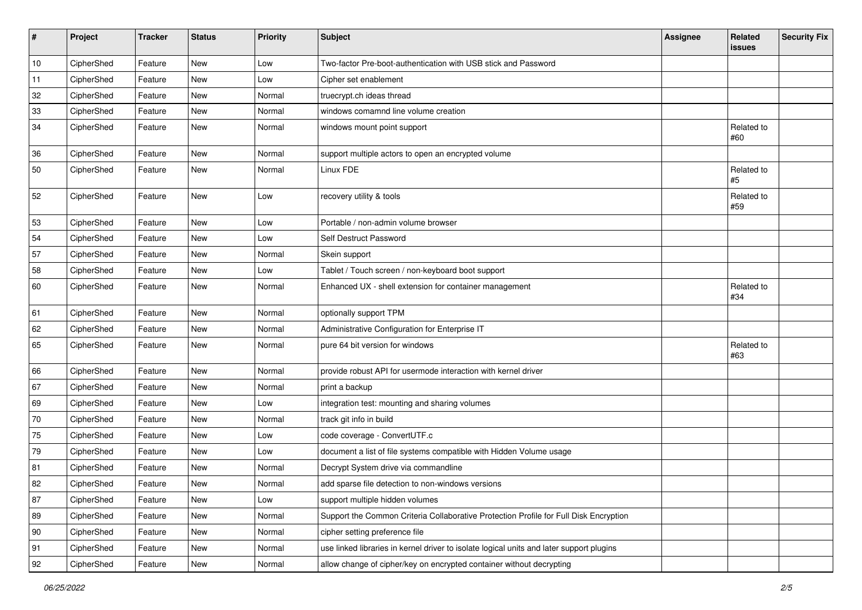| #  | Project    | <b>Tracker</b> | <b>Status</b> | <b>Priority</b> | <b>Subject</b>                                                                           | <b>Assignee</b> | Related<br>issues | <b>Security Fix</b> |
|----|------------|----------------|---------------|-----------------|------------------------------------------------------------------------------------------|-----------------|-------------------|---------------------|
| 10 | CipherShed | Feature        | <b>New</b>    | Low             | Two-factor Pre-boot-authentication with USB stick and Password                           |                 |                   |                     |
| 11 | CipherShed | Feature        | New           | Low             | Cipher set enablement                                                                    |                 |                   |                     |
| 32 | CipherShed | Feature        | New           | Normal          | truecrypt.ch ideas thread                                                                |                 |                   |                     |
| 33 | CipherShed | Feature        | New           | Normal          | windows comamnd line volume creation                                                     |                 |                   |                     |
| 34 | CipherShed | Feature        | New           | Normal          | windows mount point support                                                              |                 | Related to<br>#60 |                     |
| 36 | CipherShed | Feature        | New           | Normal          | support multiple actors to open an encrypted volume                                      |                 |                   |                     |
| 50 | CipherShed | Feature        | <b>New</b>    | Normal          | Linux FDE                                                                                |                 | Related to<br>#5  |                     |
| 52 | CipherShed | Feature        | New           | Low             | recovery utility & tools                                                                 |                 | Related to<br>#59 |                     |
| 53 | CipherShed | Feature        | <b>New</b>    | Low             | Portable / non-admin volume browser                                                      |                 |                   |                     |
| 54 | CipherShed | Feature        | New           | Low             | Self Destruct Password                                                                   |                 |                   |                     |
| 57 | CipherShed | Feature        | <b>New</b>    | Normal          | Skein support                                                                            |                 |                   |                     |
| 58 | CipherShed | Feature        | New           | Low             | Tablet / Touch screen / non-keyboard boot support                                        |                 |                   |                     |
| 60 | CipherShed | Feature        | <b>New</b>    | Normal          | Enhanced UX - shell extension for container management                                   |                 | Related to<br>#34 |                     |
| 61 | CipherShed | Feature        | New           | Normal          | optionally support TPM                                                                   |                 |                   |                     |
| 62 | CipherShed | Feature        | New           | Normal          | Administrative Configuration for Enterprise IT                                           |                 |                   |                     |
| 65 | CipherShed | Feature        | New           | Normal          | pure 64 bit version for windows                                                          |                 | Related to<br>#63 |                     |
| 66 | CipherShed | Feature        | <b>New</b>    | Normal          | provide robust API for usermode interaction with kernel driver                           |                 |                   |                     |
| 67 | CipherShed | Feature        | New           | Normal          | print a backup                                                                           |                 |                   |                     |
| 69 | CipherShed | Feature        | <b>New</b>    | Low             | integration test: mounting and sharing volumes                                           |                 |                   |                     |
| 70 | CipherShed | Feature        | New           | Normal          | track git info in build                                                                  |                 |                   |                     |
| 75 | CipherShed | Feature        | New           | Low             | code coverage - ConvertUTF.c                                                             |                 |                   |                     |
| 79 | CipherShed | Feature        | <b>New</b>    | Low             | document a list of file systems compatible with Hidden Volume usage                      |                 |                   |                     |
| 81 | CipherShed | Feature        | New           | Normal          | Decrypt System drive via commandline                                                     |                 |                   |                     |
| 82 | CipherShed | Feature        | New           | Normal          | add sparse file detection to non-windows versions                                        |                 |                   |                     |
| 87 | CipherShed | Feature        | New           | Low             | support multiple hidden volumes                                                          |                 |                   |                     |
| 89 | CipherShed | Feature        | New           | Normal          | Support the Common Criteria Collaborative Protection Profile for Full Disk Encryption    |                 |                   |                     |
| 90 | CipherShed | Feature        | New           | Normal          | cipher setting preference file                                                           |                 |                   |                     |
| 91 | CipherShed | Feature        | New           | Normal          | use linked libraries in kernel driver to isolate logical units and later support plugins |                 |                   |                     |
| 92 | CipherShed | Feature        | New           | Normal          | allow change of cipher/key on encrypted container without decrypting                     |                 |                   |                     |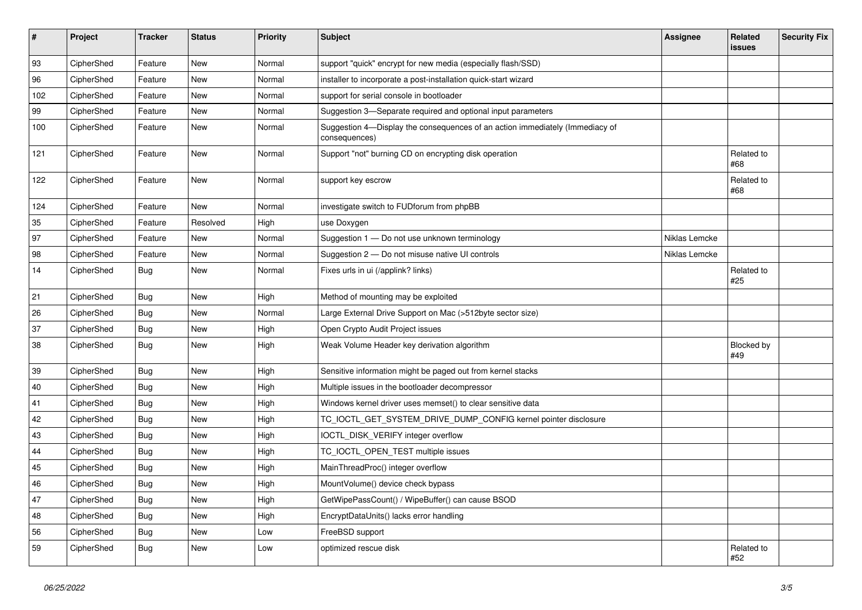| $\vert$ # | Project    | <b>Tracker</b> | <b>Status</b> | Priority | <b>Subject</b>                                                                                | <b>Assignee</b> | Related<br><b>issues</b> | <b>Security Fix</b> |
|-----------|------------|----------------|---------------|----------|-----------------------------------------------------------------------------------------------|-----------------|--------------------------|---------------------|
| 93        | CipherShed | Feature        | <b>New</b>    | Normal   | support "quick" encrypt for new media (especially flash/SSD)                                  |                 |                          |                     |
| 96        | CipherShed | Feature        | New           | Normal   | installer to incorporate a post-installation quick-start wizard                               |                 |                          |                     |
| 102       | CipherShed | Feature        | New           | Normal   | support for serial console in bootloader                                                      |                 |                          |                     |
| 99        | CipherShed | Feature        | <b>New</b>    | Normal   | Suggestion 3-Separate required and optional input parameters                                  |                 |                          |                     |
| 100       | CipherShed | Feature        | New           | Normal   | Suggestion 4-Display the consequences of an action immediately (Immediacy of<br>consequences) |                 |                          |                     |
| 121       | CipherShed | Feature        | <b>New</b>    | Normal   | Support "not" burning CD on encrypting disk operation                                         |                 | Related to<br>#68        |                     |
| 122       | CipherShed | Feature        | New           | Normal   | support key escrow                                                                            |                 | Related to<br>#68        |                     |
| 124       | CipherShed | Feature        | <b>New</b>    | Normal   | investigate switch to FUDforum from phpBB                                                     |                 |                          |                     |
| 35        | CipherShed | Feature        | Resolved      | High     | use Doxygen                                                                                   |                 |                          |                     |
| 97        | CipherShed | Feature        | <b>New</b>    | Normal   | Suggestion 1 - Do not use unknown terminology                                                 | Niklas Lemcke   |                          |                     |
| 98        | CipherShed | Feature        | <b>New</b>    | Normal   | Suggestion 2 - Do not misuse native UI controls                                               | Niklas Lemcke   |                          |                     |
| 14        | CipherShed | Bug            | <b>New</b>    | Normal   | Fixes urls in ui (/applink? links)                                                            |                 | Related to<br>#25        |                     |
| 21        | CipherShed | <b>Bug</b>     | New           | High     | Method of mounting may be exploited                                                           |                 |                          |                     |
| 26        | CipherShed | <b>Bug</b>     | New           | Normal   | Large External Drive Support on Mac (>512byte sector size)                                    |                 |                          |                     |
| 37        | CipherShed | <b>Bug</b>     | <b>New</b>    | High     | Open Crypto Audit Project issues                                                              |                 |                          |                     |
| 38        | CipherShed | <b>Bug</b>     | <b>New</b>    | High     | Weak Volume Header key derivation algorithm                                                   |                 | Blocked by<br>#49        |                     |
| 39        | CipherShed | <b>Bug</b>     | New           | High     | Sensitive information might be paged out from kernel stacks                                   |                 |                          |                     |
| 40        | CipherShed | <b>Bug</b>     | <b>New</b>    | High     | Multiple issues in the bootloader decompressor                                                |                 |                          |                     |
| 41        | CipherShed | <b>Bug</b>     | New           | High     | Windows kernel driver uses memset() to clear sensitive data                                   |                 |                          |                     |
| 42        | CipherShed | <b>Bug</b>     | New           | High     | TC_IOCTL_GET_SYSTEM_DRIVE_DUMP_CONFIG kernel pointer disclosure                               |                 |                          |                     |
| 43        | CipherShed | Bug            | New           | High     | IOCTL_DISK_VERIFY integer overflow                                                            |                 |                          |                     |
| 44        | CipherShed | <b>Bug</b>     | New           | High     | TC_IOCTL_OPEN_TEST multiple issues                                                            |                 |                          |                     |
| 45        | CipherShed | <b>Bug</b>     | New           | High     | MainThreadProc() integer overflow                                                             |                 |                          |                     |
| 46        | CipherShed | <b>Bug</b>     | New           | High     | MountVolume() device check bypass                                                             |                 |                          |                     |
| 47        | CipherShed | Bug            | New           | High     | GetWipePassCount() / WipeBuffer() can cause BSOD                                              |                 |                          |                     |
| 48        | CipherShed | <b>Bug</b>     | New           | High     | EncryptDataUnits() lacks error handling                                                       |                 |                          |                     |
| 56        | CipherShed | <b>Bug</b>     | New           | Low      | FreeBSD support                                                                               |                 |                          |                     |
| 59        | CipherShed | <b>Bug</b>     | New           | Low      | optimized rescue disk                                                                         |                 | Related to<br>#52        |                     |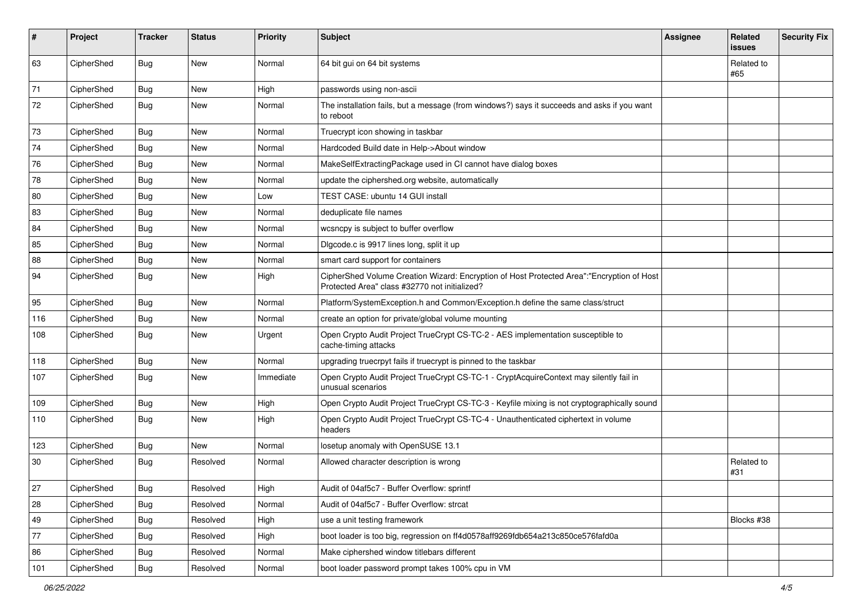| #   | Project    | <b>Tracker</b> | <b>Status</b> | Priority  | <b>Subject</b>                                                                                                                             | <b>Assignee</b> | Related<br>issues | <b>Security Fix</b> |
|-----|------------|----------------|---------------|-----------|--------------------------------------------------------------------------------------------------------------------------------------------|-----------------|-------------------|---------------------|
| 63  | CipherShed | Bug            | New           | Normal    | 64 bit gui on 64 bit systems                                                                                                               |                 | Related to<br>#65 |                     |
| 71  | CipherShed | Bug            | New           | High      | passwords using non-ascii                                                                                                                  |                 |                   |                     |
| 72  | CipherShed | Bug            | New           | Normal    | The installation fails, but a message (from windows?) says it succeeds and asks if you want<br>to reboot                                   |                 |                   |                     |
| 73  | CipherShed | Bug            | New           | Normal    | Truecrypt icon showing in taskbar                                                                                                          |                 |                   |                     |
| 74  | CipherShed | Bug            | New           | Normal    | Hardcoded Build date in Help->About window                                                                                                 |                 |                   |                     |
| 76  | CipherShed | Bug            | New           | Normal    | MakeSelfExtractingPackage used in CI cannot have dialog boxes                                                                              |                 |                   |                     |
| 78  | CipherShed | <b>Bug</b>     | New           | Normal    | update the ciphershed org website, automatically                                                                                           |                 |                   |                     |
| 80  | CipherShed | <b>Bug</b>     | New           | Low       | TEST CASE: ubuntu 14 GUI install                                                                                                           |                 |                   |                     |
| 83  | CipherShed | Bug            | New           | Normal    | deduplicate file names                                                                                                                     |                 |                   |                     |
| 84  | CipherShed | <b>Bug</b>     | New           | Normal    | wcsncpy is subject to buffer overflow                                                                                                      |                 |                   |                     |
| 85  | CipherShed | <b>Bug</b>     | New           | Normal    | Digcode.c is 9917 lines long, split it up                                                                                                  |                 |                   |                     |
| 88  | CipherShed | Bug            | New           | Normal    | smart card support for containers                                                                                                          |                 |                   |                     |
| 94  | CipherShed | Bug            | New           | High      | CipherShed Volume Creation Wizard: Encryption of Host Protected Area":"Encryption of Host<br>Protected Area" class #32770 not initialized? |                 |                   |                     |
| 95  | CipherShed | <b>Bug</b>     | New           | Normal    | Platform/SystemException.h and Common/Exception.h define the same class/struct                                                             |                 |                   |                     |
| 116 | CipherShed | <b>Bug</b>     | New           | Normal    | create an option for private/global volume mounting                                                                                        |                 |                   |                     |
| 108 | CipherShed | Bug            | New           | Urgent    | Open Crypto Audit Project TrueCrypt CS-TC-2 - AES implementation susceptible to<br>cache-timing attacks                                    |                 |                   |                     |
| 118 | CipherShed | <b>Bug</b>     | New           | Normal    | upgrading truecrpyt fails if truecrypt is pinned to the taskbar                                                                            |                 |                   |                     |
| 107 | CipherShed | <b>Bug</b>     | New           | Immediate | Open Crypto Audit Project TrueCrypt CS-TC-1 - CryptAcquireContext may silently fail in<br>unusual scenarios                                |                 |                   |                     |
| 109 | CipherShed | <b>Bug</b>     | New           | High      | Open Crypto Audit Project TrueCrypt CS-TC-3 - Keyfile mixing is not cryptographically sound                                                |                 |                   |                     |
| 110 | CipherShed | Bug            | New           | High      | Open Crypto Audit Project TrueCrypt CS-TC-4 - Unauthenticated ciphertext in volume<br>headers                                              |                 |                   |                     |
| 123 | CipherShed | <b>Bug</b>     | New           | Normal    | losetup anomaly with OpenSUSE 13.1                                                                                                         |                 |                   |                     |
| 30  | CipherShed | Bug            | Resolved      | Normal    | Allowed character description is wrong                                                                                                     |                 | Related to<br>#31 |                     |
| 27  | CipherShed | <b>Bug</b>     | Resolved      | High      | Audit of 04af5c7 - Buffer Overflow: sprintf                                                                                                |                 |                   |                     |
| 28  | CipherShed | <b>Bug</b>     | Resolved      | Normal    | Audit of 04af5c7 - Buffer Overflow: strcat                                                                                                 |                 |                   |                     |
| 49  | CipherShed | <b>Bug</b>     | Resolved      | High      | use a unit testing framework                                                                                                               |                 | Blocks #38        |                     |
| 77  | CipherShed | Bug            | Resolved      | High      | boot loader is too big, regression on ff4d0578aff9269fdb654a213c850ce576fafd0a                                                             |                 |                   |                     |
| 86  | CipherShed | <b>Bug</b>     | Resolved      | Normal    | Make ciphershed window titlebars different                                                                                                 |                 |                   |                     |
| 101 | CipherShed | Bug            | Resolved      | Normal    | boot loader password prompt takes 100% cpu in VM                                                                                           |                 |                   |                     |